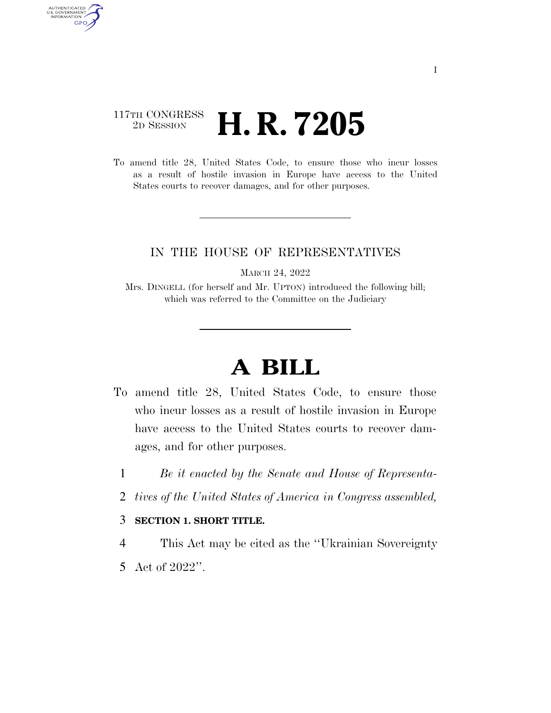### 117TH CONGRESS <sup>2D SESSION</sup> **H. R. 7205**

AUTHENTICATED<br>U.S. GOVERNMENT<br>INFORMATION GPO

> To amend title 28, United States Code, to ensure those who incur losses as a result of hostile invasion in Europe have access to the United States courts to recover damages, and for other purposes.

### IN THE HOUSE OF REPRESENTATIVES

MARCH 24, 2022

Mrs. DINGELL (for herself and Mr. UPTON) introduced the following bill; which was referred to the Committee on the Judiciary

# **A BILL**

- To amend title 28, United States Code, to ensure those who incur losses as a result of hostile invasion in Europe have access to the United States courts to recover damages, and for other purposes.
	- 1 *Be it enacted by the Senate and House of Representa-*
	- 2 *tives of the United States of America in Congress assembled,*

#### 3 **SECTION 1. SHORT TITLE.**

- 4 This Act may be cited as the ''Ukrainian Sovereignty
- 5 Act of 2022''.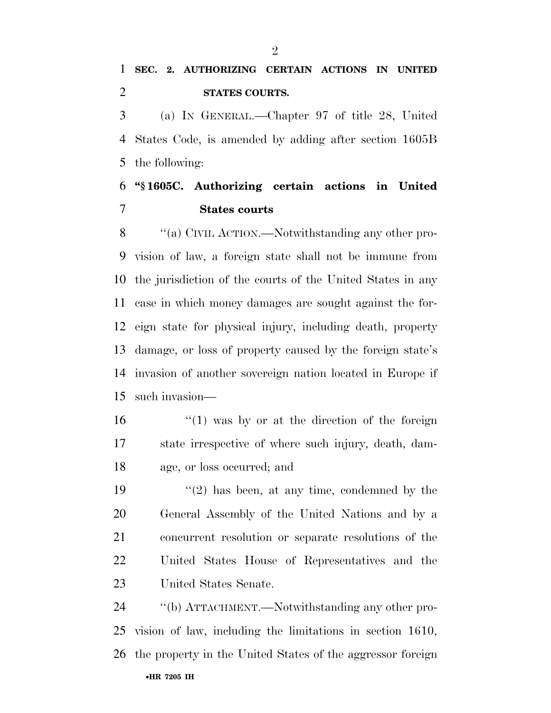(a) IN GENERAL.—Chapter 97 of title 28, United States Code, is amended by adding after section 1605B the following:

## **''§ 1605C. Authorizing certain actions in United States courts**

8 "(a) CIVIL ACTION.—Notwithstanding any other pro- vision of law, a foreign state shall not be immune from the jurisdiction of the courts of the United States in any case in which money damages are sought against the for- eign state for physical injury, including death, property damage, or loss of property caused by the foreign state's invasion of another sovereign nation located in Europe if such invasion—

16 ''(1) was by or at the direction of the foreign state irrespective of where such injury, death, dam-age, or loss occurred; and

 $(2)$  has been, at any time, condemned by the General Assembly of the United Nations and by a concurrent resolution or separate resolutions of the United States House of Representatives and the United States Senate.

•**HR 7205 IH** ''(b) ATTACHMENT.—Notwithstanding any other pro- vision of law, including the limitations in section 1610, the property in the United States of the aggressor foreign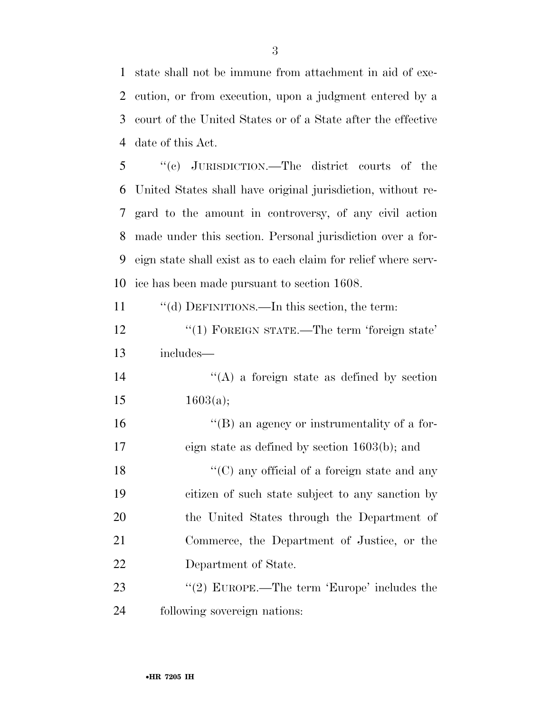state shall not be immune from attachment in aid of exe- cution, or from execution, upon a judgment entered by a court of the United States or of a State after the effective date of this Act.

 ''(c) JURISDICTION.—The district courts of the United States shall have original jurisdiction, without re- gard to the amount in controversy, of any civil action made under this section. Personal jurisdiction over a for- eign state shall exist as to each claim for relief where serv-ice has been made pursuant to section 1608.

''(d) DEFINITIONS.—In this section, the term:

12 "(1) FOREIGN STATE.—The term 'foreign state' includes—

 $'$ (A) a foreign state as defined by section 15  $1603(a);$ 

 ''(B) an agency or instrumentality of a for- eign state as defined by section 1603(b); and 18 ''(C) any official of a foreign state and any citizen of such state subject to any sanction by the United States through the Department of Commerce, the Department of Justice, or the Department of State.

23 "(2) EUROPE.—The term 'Europe' includes the following sovereign nations: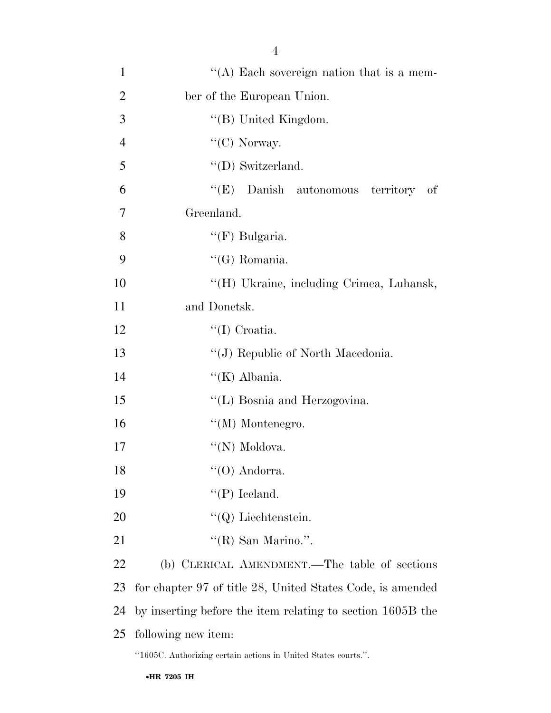| $\mathbf{1}$   | "(A) Each sovereign nation that is a mem-                      |
|----------------|----------------------------------------------------------------|
| $\overline{2}$ | ber of the European Union.                                     |
| 3              | "(B) United Kingdom.                                           |
| $\overline{4}$ | " $(C)$ Norway.                                                |
| 5              | $\lq\lq$ (D) Switzerland.                                      |
| 6              | "(E) Danish autonomous territory of                            |
| $\overline{7}$ | Greenland.                                                     |
| 8              | " $(F)$ Bulgaria.                                              |
| 9              | "(G) Romania.                                                  |
| 10             | "(H) Ukraine, including Crimea, Luhansk,                       |
| 11             | and Donetsk.                                                   |
| 12             | $\lq$ (I) Croatia.                                             |
| 13             | "(J) Republic of North Macedonia.                              |
| 14             | " $(K)$ Albania.                                               |
| 15             | "(L) Bosnia and Herzogovina.                                   |
| 16             | $\lq\lq (M)$ Montenegro.                                       |
| 17             | "(N) Moldova.                                                  |
| 18             | $\lq\lq$ (O) Andorra.                                          |
| 19             | $\lq\lq(P)$ Iceland.                                           |
| 20             | $\lq\lq Q$ ) Liechtenstein.                                    |
| 21             | "(R) San Marino.".                                             |
| 22             | (b) CLERICAL AMENDMENT.—The table of sections                  |
| 23             | for chapter 97 of title 28, United States Code, is amended     |
| 24             | by inserting before the item relating to section 1605B the     |
| 25             | following new item:                                            |
|                | "1605C. Authorizing certain actions in United States courts.". |